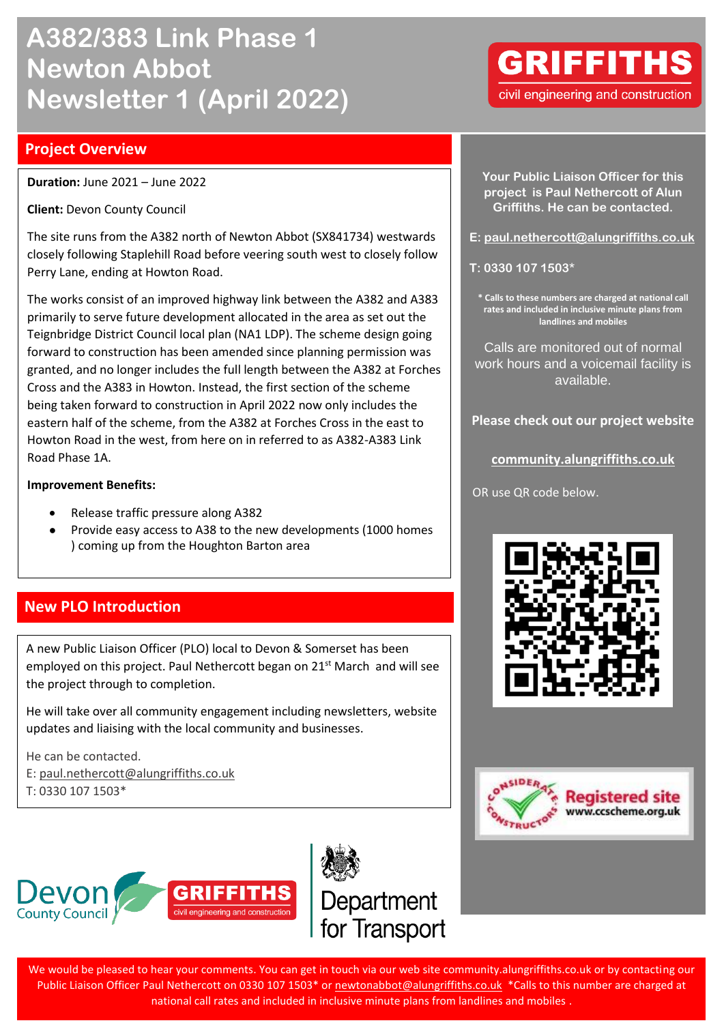# **A382/383 Link Phase 1 Newton Abbot Newsletter 1 (April 2022)**

## **Project Overview**

**Duration:** June 2021 – June 2022

**Client:** Devon County Council

The site runs from the A382 north of Newton Abbot (SX841734) westwards closely following Staplehill Road before veering south west to closely follow Perry Lane, ending at Howton Road.

The works consist of an improved highway link between the A382 and A383 primarily to serve future development allocated in the area as set out the Teignbridge District Council local plan (NA1 LDP). The scheme design going forward to construction has been amended since planning permission was granted, and no longer includes the full length between the A382 at Forches Cross and the A383 in Howton. Instead, the first section of the scheme being taken forward to construction in April 2022 now only includes the eastern half of the scheme, from the A382 at Forches Cross in the east to Howton Road in the west, from here on in referred to as A382-A383 Link Road Phase 1A.

#### **Improvement Benefits:**

- Release traffic pressure along A382
- Provide easy access to A38 to the new developments (1000 homes ) coming up from the Houghton Barton area

# **New PLO Introduction**

A new Public Liaison Officer (PLO) local to Devon & Somerset has been employed on this project. Paul Nethercott began on 21<sup>st</sup> March and will see the project through to completion.

He will take over all community engagement including newsletters, website updates and liaising with the local community and businesses.

He can be contacted. E: [paul.nethercott@alungriffiths.co.uk](mailto:paul.nethercott@alungriffiths.co.uk)

T: 0330 107 1503\*





**Your Public Liaison Officer for this project is Paul Nethercott of Alun Griffiths. He can be contacted.**

**E: [paul.nethercott@alungriffiths.co.uk](mailto:paul.nethercott@alungriffiths.co.uk)**

**T: 0330 107 1503\***

**\* Calls to these numbers are charged at national call rates and included in inclusive minute plans from landlines and mobiles**

Calls are monitored out of normal work hours and a voicemail facility is available.

**Please check out our project website**

**[community.alungriffiths.co.uk](https://community.alungriffiths.co.uk/projects-in-your-area/north-devon-link-road/)**

OR use QR code below.





**GRIFFITHS** civil engineering and construction

We would be pleased to hear your comments. You can get in touch via our web site community.alungriffiths.co.uk or by contacting our Public Liaison Officer Paul Nethercott on 0330 107 1503\* or [newtonabbot@alungriffiths.co.uk](mailto:newtonabbot@alungriffiths.co.uk) \*Calls to this number are charged at national call rates and included in inclusive minute plans from landlines and mobiles .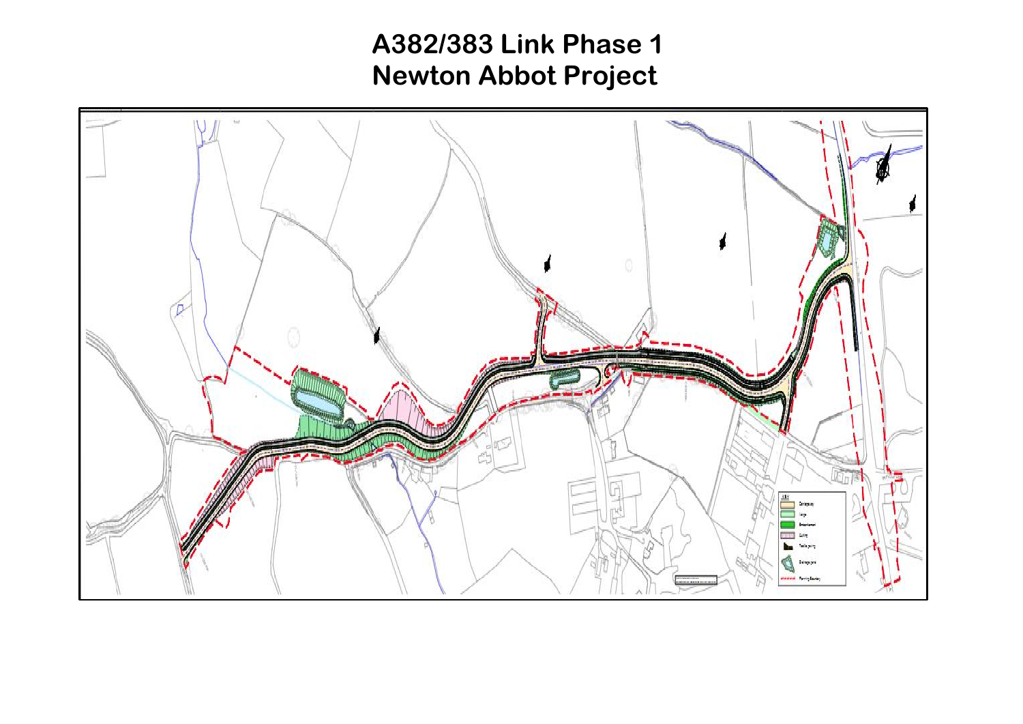# **A382/383 Link Phase 1 Newton Abbot Project**

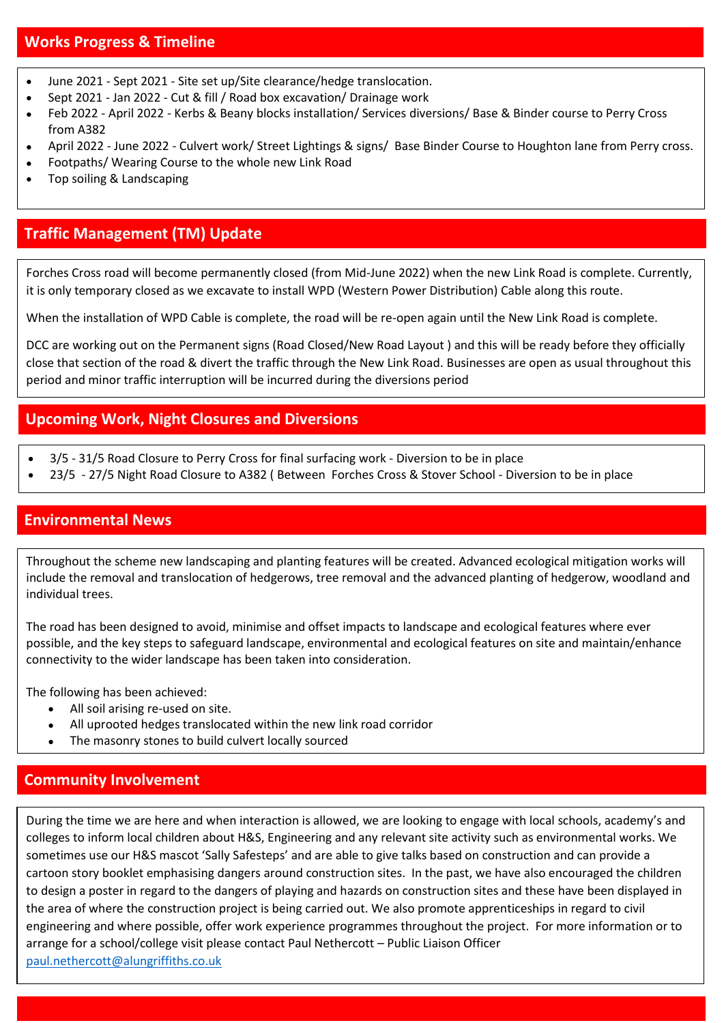#### **Works Progress & Timeline**

- June 2021 Sept 2021 Site set up/Site clearance/hedge translocation.
- Sept 2021 Jan 2022 Cut & fill / Road box excavation/ Drainage work
- Feb 2022 April 2022 Kerbs & Beany blocks installation/ Services diversions/ Base & Binder course to Perry Cross from A382
- April 2022 June 2022 Culvert work/ Street Lightings & signs/ Base Binder Course to Houghton lane from Perry cross.
- Footpaths/ Wearing Course to the whole new Link Road
- Top soiling & Landscaping

# **Traffic Management (TM) Update**

Forches Cross road will become permanently closed (from Mid-June 2022) when the new Link Road is complete. Currently, it is only temporary closed as we excavate to install WPD (Western Power Distribution) Cable along this route.

When the installation of WPD Cable is complete, the road will be re-open again until the New Link Road is complete.

DCC are working out on the Permanent signs (Road Closed/New Road Layout ) and this will be ready before they officially close that section of the road & divert the traffic through the New Link Road. Businesses are open as usual throughout this period and minor traffic interruption will be incurred during the diversions period

### **Upcoming Work, Night Closures and Diversions**

- 3/5 31/5 Road Closure to Perry Cross for final surfacing work Diversion to be in place
- 23/5 27/5 Night Road Closure to A382 ( Between Forches Cross & Stover School Diversion to be in place

### **Environmental News**

Throughout the scheme new landscaping and planting features will be created. Advanced ecological mitigation works will include the removal and translocation of hedgerows, tree removal and the advanced planting of hedgerow, woodland and individual trees.

The road has been designed to avoid, minimise and offset impacts to landscape and ecological features where ever possible, and the key steps to safeguard landscape, environmental and ecological features on site and maintain/enhance connectivity to the wider landscape has been taken into consideration.

The following has been achieved:

- All soil arising re-used on site.
- All uprooted hedges translocated within the new link road corridor
- The masonry stones to build culvert locally sourced

# **Community Involvement**

During the time we are here and when interaction is allowed, we are looking to engage with local schools, academy's and colleges to inform local children about H&S, Engineering and any relevant site activity such as environmental works. We sometimes use our H&S mascot 'Sally Safesteps' and are able to give talks based on construction and can provide a cartoon story booklet emphasising dangers around construction sites. In the past, we have also encouraged the children to design a poster in regard to the dangers of playing and hazards on construction sites and these have been displayed in the area of where the construction project is being carried out. We also promote apprenticeships in regard to civil engineering and where possible, offer work experience programmes throughout the project. For more information or to arrange for a school/college visit please contact Paul Nethercott – Public Liaison Officer [paul.nethercott@alungriffiths.co.uk](mailto:paul.nethercott@alungriffiths.co.uk)

l